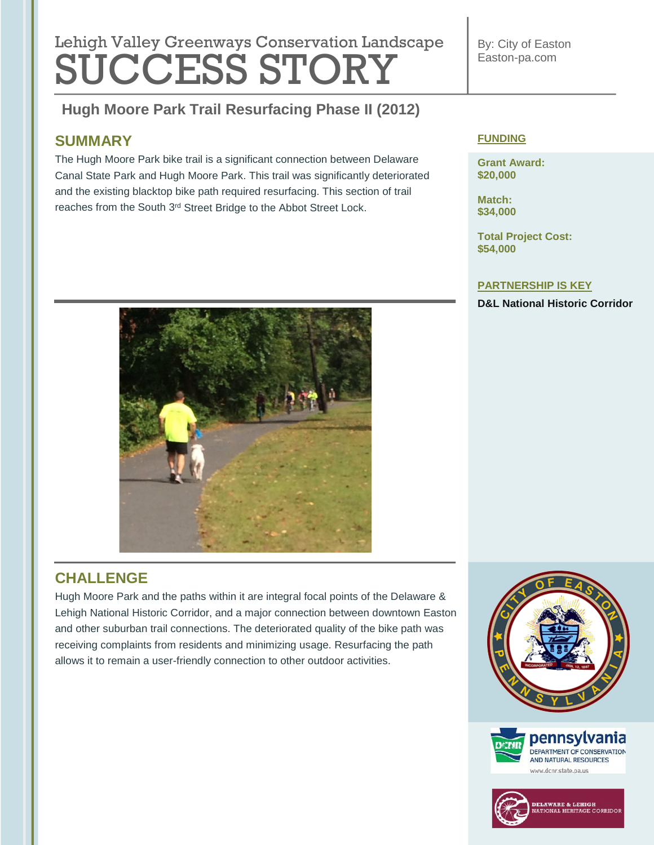# **Lebish Velley Que environmental regulation Lengtheres** Lehigh Valley Greenways Conservation Landscape SUCCESS STORY

#### **Hugh Moore Park Trail Resurfacing Phase II (2012) Tree Revitalization (2011)**

# **SUMMARY**

The Hugh Moore Park bike trail is a significant connection between Delaware Canal State Park and Hugh Moore Park. This trail was significantly deteriorated and the existing blacktop bike path required resurfacing. This section of trail reaches from the South 3rd Street Bridge to the Abbot Street Lock.



#### **FUNDING**

**Grant Award: \$20,000**

**Match: \$34,000**

**Total Project Cost: \$54,000**

#### **PARTNERSHIP IS KEY**

**D&L National Historic Corridor**



# **CHALLENGE**

Hugh Moore Park and the paths within it are integral focal points of the Delaware & Lehigh National Historic Corridor, and a major connection between downtown Easton and other suburban trail connections. The deteriorated quality of the bike path was receiving complaints from residents and minimizing usage. Resurfacing the path allows it to remain a user-friendly connection to other outdoor activities.